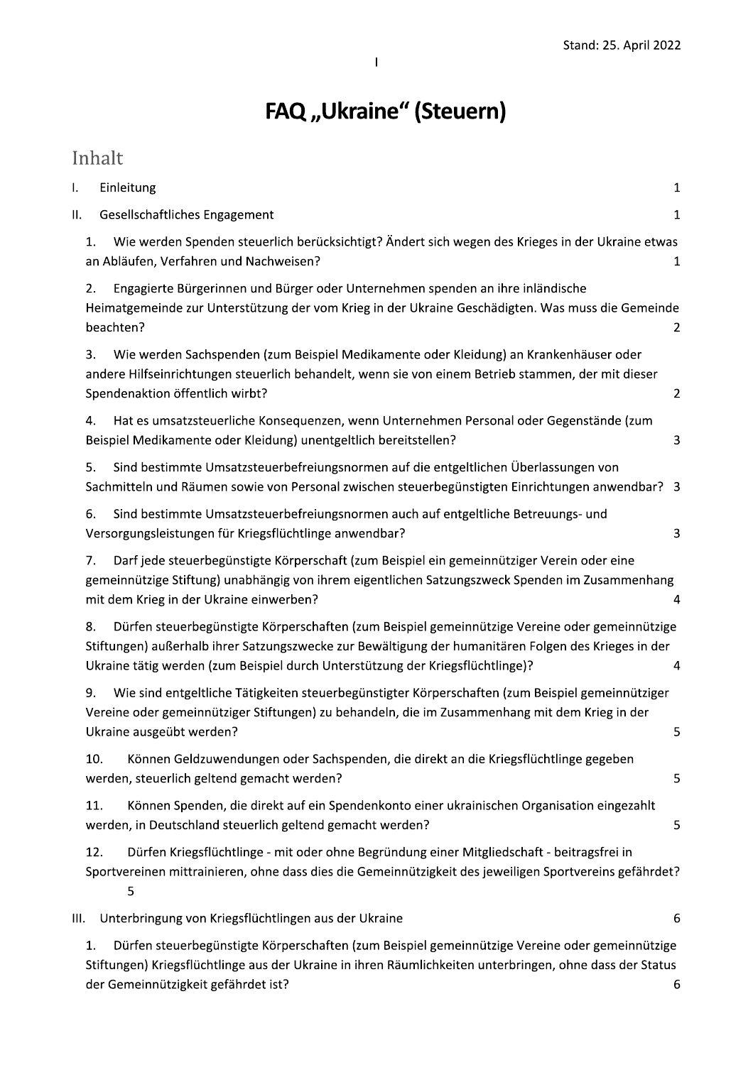# FAQ "Ukraine" (Steuern)

Inhalt

| I.   | Einleitung                                                                                                                                                                                                                                                                                     | 1              |
|------|------------------------------------------------------------------------------------------------------------------------------------------------------------------------------------------------------------------------------------------------------------------------------------------------|----------------|
| П.   | Gesellschaftliches Engagement                                                                                                                                                                                                                                                                  | $\mathbf{1}$   |
|      | Wie werden Spenden steuerlich berücksichtigt? Ändert sich wegen des Krieges in der Ukraine etwas<br>1.<br>an Abläufen, Verfahren und Nachweisen?                                                                                                                                               | 1              |
|      | Engagierte Bürgerinnen und Bürger oder Unternehmen spenden an ihre inländische<br>2.<br>Heimatgemeinde zur Unterstützung der vom Krieg in der Ukraine Geschädigten. Was muss die Gemeinde<br>beachten?                                                                                         | $\overline{2}$ |
|      | 3.<br>Wie werden Sachspenden (zum Beispiel Medikamente oder Kleidung) an Krankenhäuser oder<br>andere Hilfseinrichtungen steuerlich behandelt, wenn sie von einem Betrieb stammen, der mit dieser<br>Spendenaktion öffentlich wirbt?                                                           | $\overline{2}$ |
|      | Hat es umsatzsteuerliche Konsequenzen, wenn Unternehmen Personal oder Gegenstände (zum<br>4.<br>Beispiel Medikamente oder Kleidung) unentgeltlich bereitstellen?                                                                                                                               | 3              |
|      | Sind bestimmte Umsatzsteuerbefreiungsnormen auf die entgeltlichen Überlassungen von<br>5.<br>Sachmitteln und Räumen sowie von Personal zwischen steuerbegünstigten Einrichtungen anwendbar? 3                                                                                                  |                |
|      | Sind bestimmte Umsatzsteuerbefreiungsnormen auch auf entgeltliche Betreuungs- und<br>6.<br>Versorgungsleistungen für Kriegsflüchtlinge anwendbar?                                                                                                                                              | 3              |
|      | Darf jede steuerbegünstigte Körperschaft (zum Beispiel ein gemeinnütziger Verein oder eine<br>7.<br>gemeinnützige Stiftung) unabhängig von ihrem eigentlichen Satzungszweck Spenden im Zusammenhang<br>mit dem Krieg in der Ukraine einwerben?                                                 | 4              |
|      | Dürfen steuerbegünstigte Körperschaften (zum Beispiel gemeinnützige Vereine oder gemeinnützige<br>8.<br>Stiftungen) außerhalb ihrer Satzungszwecke zur Bewältigung der humanitären Folgen des Krieges in der<br>Ukraine tätig werden (zum Beispiel durch Unterstützung der Kriegsflüchtlinge)? | 4              |
|      | Wie sind entgeltliche Tätigkeiten steuerbegünstigter Körperschaften (zum Beispiel gemeinnütziger<br>9.<br>Vereine oder gemeinnütziger Stiftungen) zu behandeln, die im Zusammenhang mit dem Krieg in der<br>Ukraine ausgeübt werden?                                                           | 5              |
|      | Können Geldzuwendungen oder Sachspenden, die direkt an die Kriegsflüchtlinge gegeben<br>10.<br>werden, steuerlich geltend gemacht werden?                                                                                                                                                      | 5              |
|      | 11.<br>Können Spenden, die direkt auf ein Spendenkonto einer ukrainischen Organisation eingezahlt<br>werden, in Deutschland steuerlich geltend gemacht werden?                                                                                                                                 | 5              |
|      | Dürfen Kriegsflüchtlinge - mit oder ohne Begründung einer Mitgliedschaft - beitragsfrei in<br>12.<br>Sportvereinen mittrainieren, ohne dass dies die Gemeinnützigkeit des jeweiligen Sportvereins gefährdet?<br>5                                                                              |                |
| III. | Unterbringung von Kriegsflüchtlingen aus der Ukraine                                                                                                                                                                                                                                           | 6              |
|      |                                                                                                                                                                                                                                                                                                |                |

1. Dürfen steuerbegünstigte Körperschaften (zum Beispiel gemeinnützige Vereine oder gemeinnützige Stiftungen) Kriegsflüchtlinge aus der Ukraine in ihren Räumlichkeiten unterbringen, ohne dass der Status der Gemeinnützigkeit gefährdet ist?  $\boldsymbol{6}$ 

 $\overline{1}$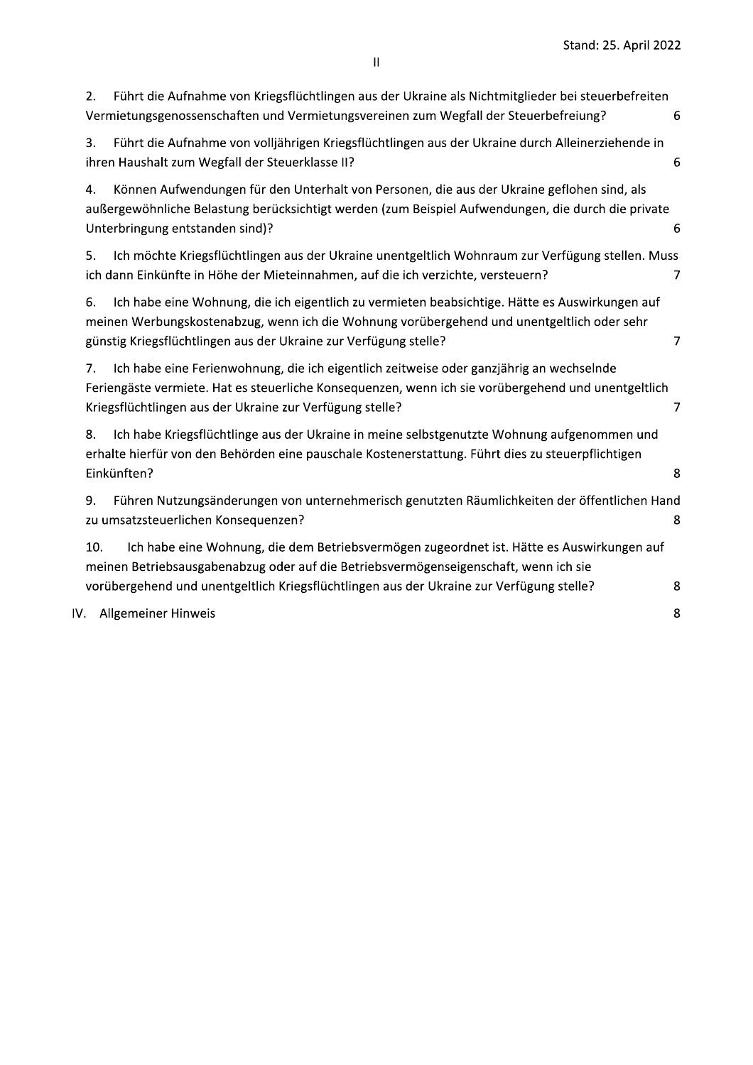Stand: 25. April 2022

| 2.  | Führt die Aufnahme von Kriegsflüchtlingen aus der Ukraine als Nichtmitglieder bei steuerbefreiten<br>Vermietungsgenossenschaften und Vermietungsvereinen zum Wegfall der Steuerbefreiung?                                                                                     | 6 |
|-----|-------------------------------------------------------------------------------------------------------------------------------------------------------------------------------------------------------------------------------------------------------------------------------|---|
| 3.  | Führt die Aufnahme von volljährigen Kriegsflüchtlingen aus der Ukraine durch Alleinerziehende in<br>ihren Haushalt zum Wegfall der Steuerklasse II?                                                                                                                           | 6 |
| 4.  | Können Aufwendungen für den Unterhalt von Personen, die aus der Ukraine geflohen sind, als<br>außergewöhnliche Belastung berücksichtigt werden (zum Beispiel Aufwendungen, die durch die private<br>Unterbringung entstanden sind)?                                           | 6 |
| 5.  | Ich möchte Kriegsflüchtlingen aus der Ukraine unentgeltlich Wohnraum zur Verfügung stellen. Muss<br>ich dann Einkünfte in Höhe der Mieteinnahmen, auf die ich verzichte, versteuern?                                                                                          | 7 |
| 6.  | Ich habe eine Wohnung, die ich eigentlich zu vermieten beabsichtige. Hätte es Auswirkungen auf<br>meinen Werbungskostenabzug, wenn ich die Wohnung vorübergehend und unentgeltlich oder sehr<br>günstig Kriegsflüchtlingen aus der Ukraine zur Verfügung stelle?              | 7 |
| 7.  | Ich habe eine Ferienwohnung, die ich eigentlich zeitweise oder ganzjährig an wechselnde<br>Feriengäste vermiete. Hat es steuerliche Konsequenzen, wenn ich sie vorübergehend und unentgeltlich<br>Kriegsflüchtlingen aus der Ukraine zur Verfügung stelle?                    | 7 |
| 8.  | Ich habe Kriegsflüchtlinge aus der Ukraine in meine selbstgenutzte Wohnung aufgenommen und<br>erhalte hierfür von den Behörden eine pauschale Kostenerstattung. Führt dies zu steuerpflichtigen<br>Einkünften?                                                                | 8 |
| 9.  | Führen Nutzungsänderungen von unternehmerisch genutzten Räumlichkeiten der öffentlichen Hand<br>zu umsatzsteuerlichen Konsequenzen?                                                                                                                                           | 8 |
| 10. | Ich habe eine Wohnung, die dem Betriebsvermögen zugeordnet ist. Hätte es Auswirkungen auf<br>meinen Betriebsausgabenabzug oder auf die Betriebsvermögenseigenschaft, wenn ich sie<br>vorübergehend und unentgeltlich Kriegsflüchtlingen aus der Ukraine zur Verfügung stelle? | 8 |
|     | IV. Allgemeiner Hinweis                                                                                                                                                                                                                                                       | 8 |
|     |                                                                                                                                                                                                                                                                               |   |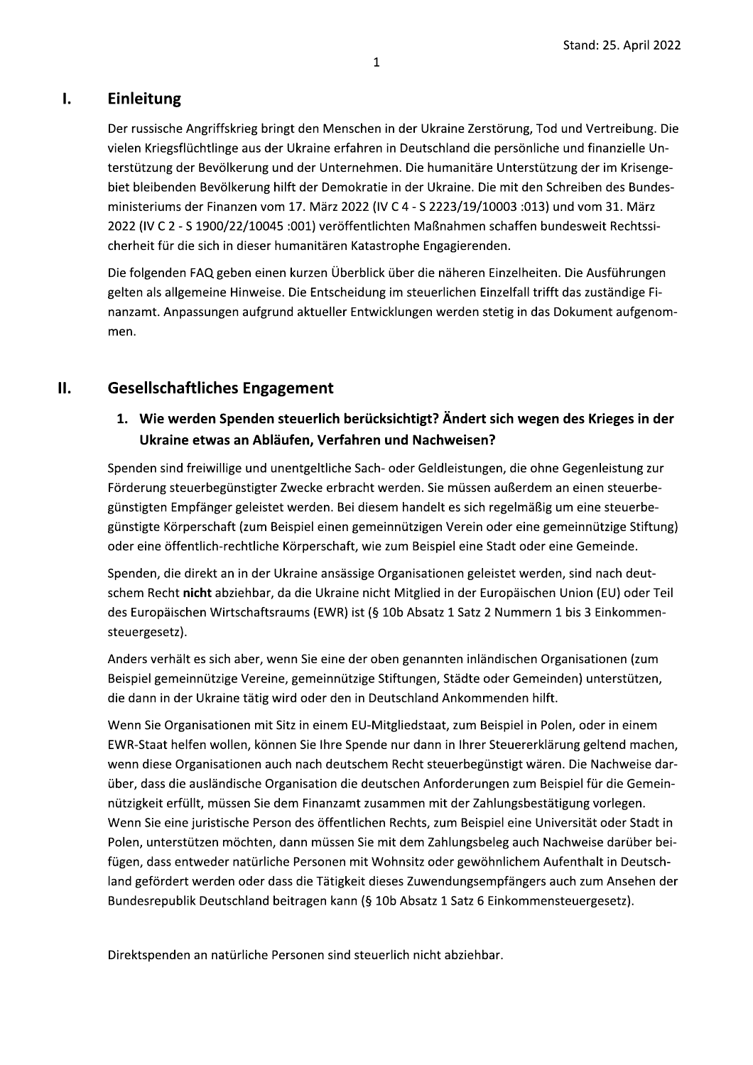#### $\mathbf{l}$ . Einleitung

Der russische Angriffskrieg bringt den Menschen in der Ukraine Zerstörung, Tod und Vertreibung. Die vielen Kriegsflüchtlinge aus der Ukraine erfahren in Deutschland die persönliche und finanzielle Unterstützung der Bevölkerung und der Unternehmen. Die humanitäre Unterstützung der im Krisengebiet bleibenden Bevölkerung hilft der Demokratie in der Ukraine. Die mit den Schreiben des Bundesministeriums der Finanzen vom 17. März 2022 (IV C 4 - S 2223/19/10003 :013) und vom 31. März 2022 (IV C 2 - S 1900/22/10045 :001) veröffentlichten Maßnahmen schaffen bundesweit Rechtssicherheit für die sich in dieser humanitären Katastrophe Engagierenden.

Die folgenden FAQ geben einen kurzen Überblick über die näheren Einzelheiten. Die Ausführungen gelten als allgemeine Hinweise. Die Entscheidung im steuerlichen Einzelfall trifft das zuständige Finanzamt. Anpassungen aufgrund aktueller Entwicklungen werden stetig in das Dokument aufgenommen.

#### II. **Gesellschaftliches Engagement**

#### 1. Wie werden Spenden steuerlich berücksichtigt? Ändert sich wegen des Krieges in der Ukraine etwas an Abläufen, Verfahren und Nachweisen?

Spenden sind freiwillige und unentgeltliche Sach- oder Geldleistungen, die ohne Gegenleistung zur Förderung steuerbegünstigter Zwecke erbracht werden. Sie müssen außerdem an einen steuerbegünstigten Empfänger geleistet werden. Bei diesem handelt es sich regelmäßig um eine steuerbegünstigte Körperschaft (zum Beispiel einen gemeinnützigen Verein oder eine gemeinnützige Stiftung) oder eine öffentlich-rechtliche Körperschaft, wie zum Beispiel eine Stadt oder eine Gemeinde.

Spenden, die direkt an in der Ukraine ansässige Organisationen geleistet werden, sind nach deutschem Recht nicht abziehbar, da die Ukraine nicht Mitglied in der Europäischen Union (EU) oder Teil des Europäischen Wirtschaftsraums (EWR) ist (§ 10b Absatz 1 Satz 2 Nummern 1 bis 3 Einkommensteuergesetz).

Anders verhält es sich aber, wenn Sie eine der oben genannten inländischen Organisationen (zum Beispiel gemeinnützige Vereine, gemeinnützige Stiftungen, Städte oder Gemeinden) unterstützen, die dann in der Ukraine tätig wird oder den in Deutschland Ankommenden hilft.

Wenn Sie Organisationen mit Sitz in einem EU-Mitgliedstaat, zum Beispiel in Polen, oder in einem EWR-Staat helfen wollen, können Sie Ihre Spende nur dann in Ihrer Steuererklärung geltend machen, wenn diese Organisationen auch nach deutschem Recht steuerbegünstigt wären. Die Nachweise darüber, dass die ausländische Organisation die deutschen Anforderungen zum Beispiel für die Gemeinnützigkeit erfüllt, müssen Sie dem Finanzamt zusammen mit der Zahlungsbestätigung vorlegen. Wenn Sie eine juristische Person des öffentlichen Rechts, zum Beispiel eine Universität oder Stadt in Polen, unterstützen möchten, dann müssen Sie mit dem Zahlungsbeleg auch Nachweise darüber beifügen, dass entweder natürliche Personen mit Wohnsitz oder gewöhnlichem Aufenthalt in Deutschland gefördert werden oder dass die Tätigkeit dieses Zuwendungsempfängers auch zum Ansehen der Bundesrepublik Deutschland beitragen kann (§ 10b Absatz 1 Satz 6 Einkommensteuergesetz).

Direktspenden an natürliche Personen sind steuerlich nicht abziehbar.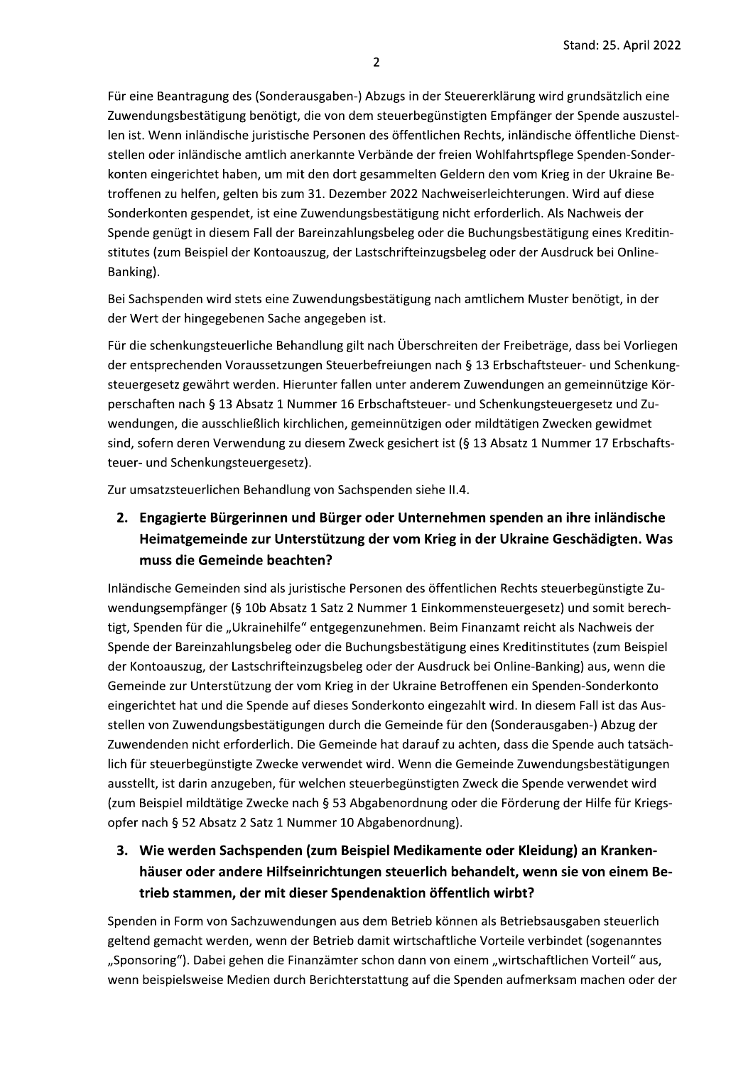Für eine Beantragung des (Sonderausgaben-) Abzugs in der Steuererklärung wird grundsätzlich eine Zuwendungsbestätigung benötigt, die von dem steuerbegünstigten Empfänger der Spende auszustellen ist. Wenn inländische juristische Personen des öffentlichen Rechts, inländische öffentliche Dienststellen oder inländische amtlich anerkannte Verbände der freien Wohlfahrtspflege Spenden-Sonderkonten eingerichtet haben, um mit den dort gesammelten Geldern den vom Krieg in der Ukraine Betroffenen zu helfen, gelten bis zum 31. Dezember 2022 Nachweiserleichterungen. Wird auf diese Sonderkonten gespendet, ist eine Zuwendungsbestätigung nicht erforderlich. Als Nachweis der Spende genügt in diesem Fall der Bareinzahlungsbeleg oder die Buchungsbestätigung eines Kreditinstitutes (zum Beispiel der Kontoauszug, der Lastschrifteinzugsbeleg oder der Ausdruck bei Online-Banking).

Bei Sachspenden wird stets eine Zuwendungsbestätigung nach amtlichem Muster benötigt, in der der Wert der hingegebenen Sache angegeben ist.

Für die schenkungsteuerliche Behandlung gilt nach Überschreiten der Freibeträge, dass bei Vorliegen der entsprechenden Voraussetzungen Steuerbefreiungen nach § 13 Erbschaftsteuer- und Schenkungsteuergesetz gewährt werden. Hierunter fallen unter anderem Zuwendungen an gemeinnützige Körperschaften nach § 13 Absatz 1 Nummer 16 Erbschaftsteuer- und Schenkungsteuergesetz und Zuwendungen, die ausschließlich kirchlichen, gemeinnützigen oder mildtätigen Zwecken gewidmet sind, sofern deren Verwendung zu diesem Zweck gesichert ist (§ 13 Absatz 1 Nummer 17 Erbschaftsteuer- und Schenkungsteuergesetz).

Zur umsatzsteuerlichen Behandlung von Sachspenden siehe II.4.

## 2. Engagierte Bürgerinnen und Bürger oder Unternehmen spenden an ihre inländische Heimatgemeinde zur Unterstützung der vom Krieg in der Ukraine Geschädigten. Was muss die Gemeinde beachten?

Inländische Gemeinden sind als juristische Personen des öffentlichen Rechts steuerbegünstigte Zuwendungsempfänger (§ 10b Absatz 1 Satz 2 Nummer 1 Einkommensteuergesetz) und somit berechtigt, Spenden für die "Ukrainehilfe" entgegenzunehmen. Beim Finanzamt reicht als Nachweis der Spende der Bareinzahlungsbeleg oder die Buchungsbestätigung eines Kreditinstitutes (zum Beispiel der Kontoauszug, der Lastschrifteinzugsbeleg oder der Ausdruck bei Online-Banking) aus, wenn die Gemeinde zur Unterstützung der vom Krieg in der Ukraine Betroffenen ein Spenden-Sonderkonto eingerichtet hat und die Spende auf dieses Sonderkonto eingezahlt wird. In diesem Fall ist das Ausstellen von Zuwendungsbestätigungen durch die Gemeinde für den (Sonderausgaben-) Abzug der Zuwendenden nicht erforderlich. Die Gemeinde hat darauf zu achten, dass die Spende auch tatsächlich für steuerbegünstigte Zwecke verwendet wird. Wenn die Gemeinde Zuwendungsbestätigungen ausstellt, ist darin anzugeben, für welchen steuerbegünstigten Zweck die Spende verwendet wird (zum Beispiel mildtätige Zwecke nach § 53 Abgabenordnung oder die Förderung der Hilfe für Kriegsopfer nach § 52 Absatz 2 Satz 1 Nummer 10 Abgabenordnung).

3. Wie werden Sachspenden (zum Beispiel Medikamente oder Kleidung) an Krankenhäuser oder andere Hilfseinrichtungen steuerlich behandelt, wenn sie von einem Betrieb stammen, der mit dieser Spendenaktion öffentlich wirbt?

Spenden in Form von Sachzuwendungen aus dem Betrieb können als Betriebsausgaben steuerlich geltend gemacht werden, wenn der Betrieb damit wirtschaftliche Vorteile verbindet (sogenanntes "Sponsoring"). Dabei gehen die Finanzämter schon dann von einem "wirtschaftlichen Vorteil" aus, wenn beispielsweise Medien durch Berichterstattung auf die Spenden aufmerksam machen oder der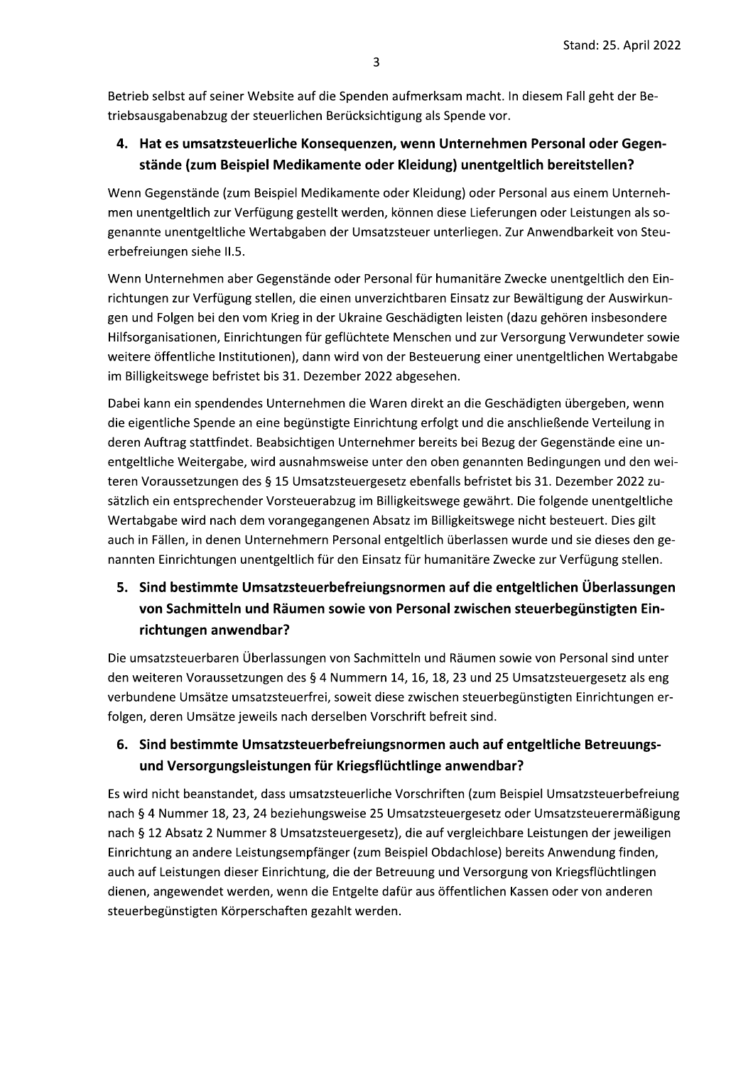Betrieb selbst auf seiner Website auf die Spenden aufmerksam macht. In diesem Fall geht der Betriebsausgabenabzug der steuerlichen Berücksichtigung als Spende vor.

### 4. Hat es umsatzsteuerliche Konsequenzen, wenn Unternehmen Personal oder Gegenstände (zum Beispiel Medikamente oder Kleidung) unentgeltlich bereitstellen?

Wenn Gegenstände (zum Beispiel Medikamente oder Kleidung) oder Personal aus einem Unternehmen unentgeltlich zur Verfügung gestellt werden, können diese Lieferungen oder Leistungen als sogenannte unentgeltliche Wertabgaben der Umsatzsteuer unterliegen. Zur Anwendbarkeit von Steuerbefreiungen siehe II.5.

Wenn Unternehmen aber Gegenstände oder Personal für humanitäre Zwecke unentgeltlich den Einrichtungen zur Verfügung stellen, die einen unverzichtbaren Einsatz zur Bewältigung der Auswirkungen und Folgen bei den vom Krieg in der Ukraine Geschädigten leisten (dazu gehören insbesondere Hilfsorganisationen, Einrichtungen für geflüchtete Menschen und zur Versorgung Verwundeter sowie weitere öffentliche Institutionen), dann wird von der Besteuerung einer unentgeltlichen Wertabgabe im Billigkeitswege befristet bis 31. Dezember 2022 abgesehen.

Dabei kann ein spendendes Unternehmen die Waren direkt an die Geschädigten übergeben, wenn die eigentliche Spende an eine begünstigte Einrichtung erfolgt und die anschließende Verteilung in deren Auftrag stattfindet. Beabsichtigen Unternehmer bereits bei Bezug der Gegenstände eine unentgeltliche Weitergabe, wird ausnahmsweise unter den oben genannten Bedingungen und den weiteren Voraussetzungen des § 15 Umsatzsteuergesetz ebenfalls befristet bis 31. Dezember 2022 zusätzlich ein entsprechender Vorsteuerabzug im Billigkeitswege gewährt. Die folgende unentgeltliche Wertabgabe wird nach dem vorangegangenen Absatz im Billigkeitswege nicht besteuert. Dies gilt auch in Fällen, in denen Unternehmern Personal entgeltlich überlassen wurde und sie dieses den genannten Einrichtungen unentgeltlich für den Einsatz für humanitäre Zwecke zur Verfügung stellen.

# 5. Sind bestimmte Umsatzsteuerbefreiungsnormen auf die entgeltlichen Überlassungen von Sachmitteln und Räumen sowie von Personal zwischen steuerbegünstigten Einrichtungen anwendbar?

Die umsatzsteuerbaren Überlassungen von Sachmitteln und Räumen sowie von Personal sind unter den weiteren Voraussetzungen des § 4 Nummern 14, 16, 18, 23 und 25 Umsatzsteuergesetz als eng verbundene Umsätze umsatzsteuerfrei, soweit diese zwischen steuerbegünstigten Einrichtungen erfolgen, deren Umsätze jeweils nach derselben Vorschrift befreit sind.

### 6. Sind bestimmte Umsatzsteuerbefreiungsnormen auch auf entgeltliche Betreuungsund Versorgungsleistungen für Kriegsflüchtlinge anwendbar?

Es wird nicht beanstandet, dass umsatzsteuerliche Vorschriften (zum Beispiel Umsatzsteuerbefreiung nach § 4 Nummer 18, 23, 24 beziehungsweise 25 Umsatzsteuergesetz oder Umsatzsteuerermäßigung nach § 12 Absatz 2 Nummer 8 Umsatzsteuergesetz), die auf vergleichbare Leistungen der jeweiligen Einrichtung an andere Leistungsempfänger (zum Beispiel Obdachlose) bereits Anwendung finden, auch auf Leistungen dieser Einrichtung, die der Betreuung und Versorgung von Kriegsflüchtlingen dienen, angewendet werden, wenn die Entgelte dafür aus öffentlichen Kassen oder von anderen steuerbegünstigten Körperschaften gezahlt werden.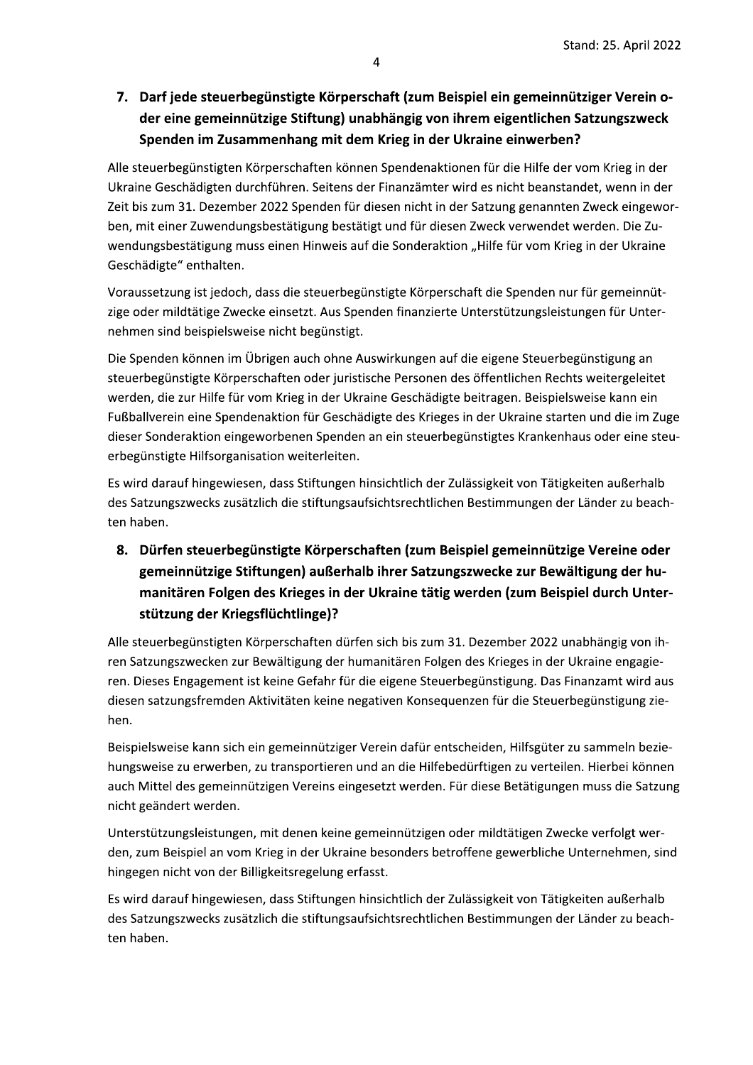# 7. Darf jede steuerbegünstigte Körperschaft (zum Beispiel ein gemeinnütziger Verein oder eine gemeinnützige Stiftung) unabhängig von ihrem eigentlichen Satzungszweck Spenden im Zusammenhang mit dem Krieg in der Ukraine einwerben?

Alle steuerbegünstigten Körperschaften können Spendenaktionen für die Hilfe der vom Krieg in der Ukraine Geschädigten durchführen. Seitens der Finanzämter wird es nicht beanstandet, wenn in der Zeit bis zum 31. Dezember 2022 Spenden für diesen nicht in der Satzung genannten Zweck eingeworben, mit einer Zuwendungsbestätigung bestätigt und für diesen Zweck verwendet werden. Die Zuwendungsbestätigung muss einen Hinweis auf die Sonderaktion "Hilfe für vom Krieg in der Ukraine Geschädigte" enthalten.

Voraussetzung ist jedoch, dass die steuerbegünstigte Körperschaft die Spenden nur für gemeinnützige oder mildtätige Zwecke einsetzt. Aus Spenden finanzierte Unterstützungsleistungen für Unternehmen sind beispielsweise nicht begünstigt.

Die Spenden können im Übrigen auch ohne Auswirkungen auf die eigene Steuerbegünstigung an steuerbegünstigte Körperschaften oder juristische Personen des öffentlichen Rechts weitergeleitet werden, die zur Hilfe für vom Krieg in der Ukraine Geschädigte beitragen. Beispielsweise kann ein Fußballverein eine Spendenaktion für Geschädigte des Krieges in der Ukraine starten und die im Zuge dieser Sonderaktion eingeworbenen Spenden an ein steuerbegünstigtes Krankenhaus oder eine steuerbegünstigte Hilfsorganisation weiterleiten.

Es wird darauf hingewiesen, dass Stiftungen hinsichtlich der Zulässigkeit von Tätigkeiten außerhalb des Satzungszwecks zusätzlich die stiftungsaufsichtsrechtlichen Bestimmungen der Länder zu beachten haben.

# 8. Dürfen steuerbegünstigte Körperschaften (zum Beispiel gemeinnützige Vereine oder gemeinnützige Stiftungen) außerhalb ihrer Satzungszwecke zur Bewältigung der humanitären Folgen des Krieges in der Ukraine tätig werden (zum Beispiel durch Unterstützung der Kriegsflüchtlinge)?

Alle steuerbegünstigten Körperschaften dürfen sich bis zum 31. Dezember 2022 unabhängig von ihren Satzungszwecken zur Bewältigung der humanitären Folgen des Krieges in der Ukraine engagieren. Dieses Engagement ist keine Gefahr für die eigene Steuerbegünstigung. Das Finanzamt wird aus diesen satzungsfremden Aktivitäten keine negativen Konsequenzen für die Steuerbegünstigung ziehen.

Beispielsweise kann sich ein gemeinnütziger Verein dafür entscheiden, Hilfsgüter zu sammeln beziehungsweise zu erwerben, zu transportieren und an die Hilfebedürftigen zu verteilen. Hierbei können auch Mittel des gemeinnützigen Vereins eingesetzt werden. Für diese Betätigungen muss die Satzung nicht geändert werden.

Unterstützungsleistungen, mit denen keine gemeinnützigen oder mildtätigen Zwecke verfolgt werden, zum Beispiel an vom Krieg in der Ukraine besonders betroffene gewerbliche Unternehmen, sind hingegen nicht von der Billigkeitsregelung erfasst.

Es wird darauf hingewiesen, dass Stiftungen hinsichtlich der Zulässigkeit von Tätigkeiten außerhalb des Satzungszwecks zusätzlich die stiftungsaufsichtsrechtlichen Bestimmungen der Länder zu beachten haben.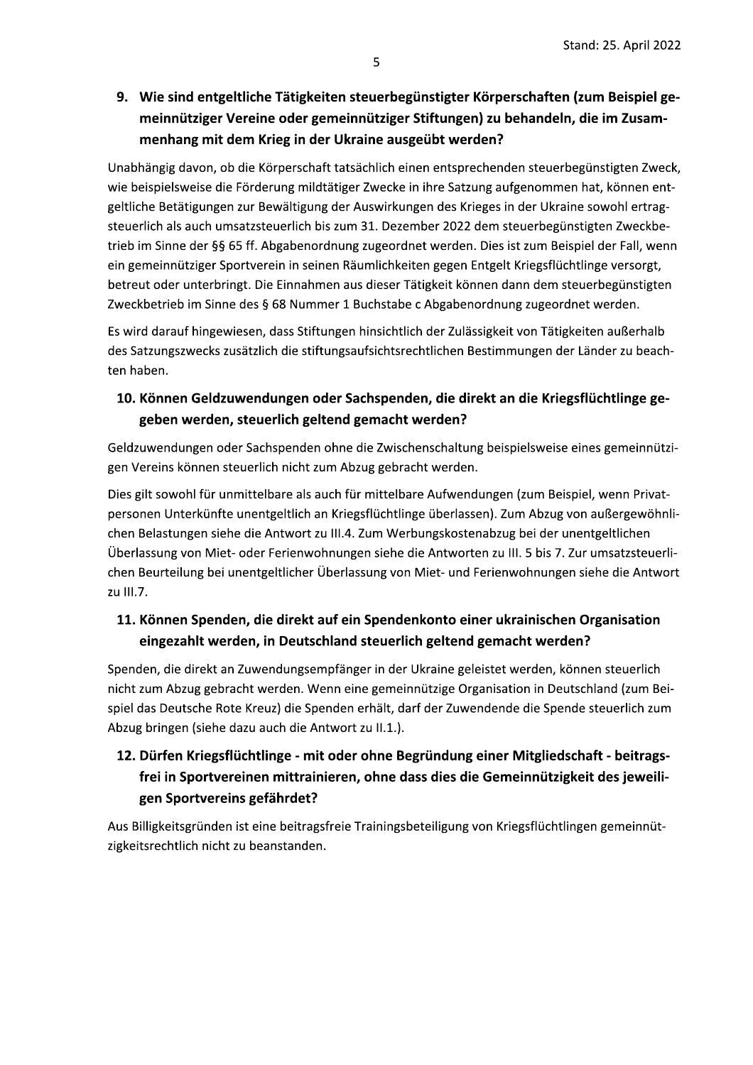9. Wie sind entgeltliche Tätigkeiten steuerbegünstigter Körperschaften (zum Beispiel gemeinnütziger Vereine oder gemeinnütziger Stiftungen) zu behandeln, die im Zusammenhang mit dem Krieg in der Ukraine ausgeübt werden?

Unabhängig davon, ob die Körperschaft tatsächlich einen entsprechenden steuerbegünstigten Zweck, wie beispielsweise die Förderung mildtätiger Zwecke in ihre Satzung aufgenommen hat, können entgeltliche Betätigungen zur Bewältigung der Auswirkungen des Krieges in der Ukraine sowohl ertragsteuerlich als auch umsatzsteuerlich bis zum 31. Dezember 2022 dem steuerbegünstigten Zweckbetrieb im Sinne der §§ 65 ff. Abgabenordnung zugeordnet werden. Dies ist zum Beispiel der Fall, wenn ein gemeinnütziger Sportverein in seinen Räumlichkeiten gegen Entgelt Kriegsflüchtlinge versorgt, betreut oder unterbringt. Die Einnahmen aus dieser Tätigkeit können dann dem steuerbegünstigten Zweckbetrieb im Sinne des § 68 Nummer 1 Buchstabe c Abgabenordnung zugeordnet werden.

Es wird darauf hingewiesen, dass Stiftungen hinsichtlich der Zulässigkeit von Tätigkeiten außerhalb des Satzungszwecks zusätzlich die stiftungsaufsichtsrechtlichen Bestimmungen der Länder zu beachten haben.

#### 10. Können Geldzuwendungen oder Sachspenden, die direkt an die Kriegsflüchtlinge gegeben werden, steuerlich geltend gemacht werden?

Geldzuwendungen oder Sachspenden ohne die Zwischenschaltung beispielsweise eines gemeinnützigen Vereins können steuerlich nicht zum Abzug gebracht werden.

Dies gilt sowohl für unmittelbare als auch für mittelbare Aufwendungen (zum Beispiel, wenn Privatpersonen Unterkünfte unentgeltlich an Kriegsflüchtlinge überlassen). Zum Abzug von außergewöhnlichen Belastungen siehe die Antwort zu III.4. Zum Werbungskostenabzug bei der unentgeltlichen Überlassung von Miet- oder Ferienwohnungen siehe die Antworten zu III. 5 bis 7. Zur umsatzsteuerlichen Beurteilung bei unentgeltlicher Überlassung von Miet- und Ferienwohnungen siehe die Antwort zu III.7.

### 11. Können Spenden, die direkt auf ein Spendenkonto einer ukrainischen Organisation eingezahlt werden, in Deutschland steuerlich geltend gemacht werden?

Spenden, die direkt an Zuwendungsempfänger in der Ukraine geleistet werden, können steuerlich nicht zum Abzug gebracht werden. Wenn eine gemeinnützige Organisation in Deutschland (zum Beispiel das Deutsche Rote Kreuz) die Spenden erhält, darf der Zuwendende die Spende steuerlich zum Abzug bringen (siehe dazu auch die Antwort zu II.1.).

# 12. Dürfen Kriegsflüchtlinge - mit oder ohne Begründung einer Mitgliedschaft - beitragsfrei in Sportvereinen mittrainieren, ohne dass dies die Gemeinnützigkeit des jeweiligen Sportvereins gefährdet?

Aus Billigkeitsgründen ist eine beitragsfreie Trainingsbeteiligung von Kriegsflüchtlingen gemeinnützigkeitsrechtlich nicht zu beanstanden.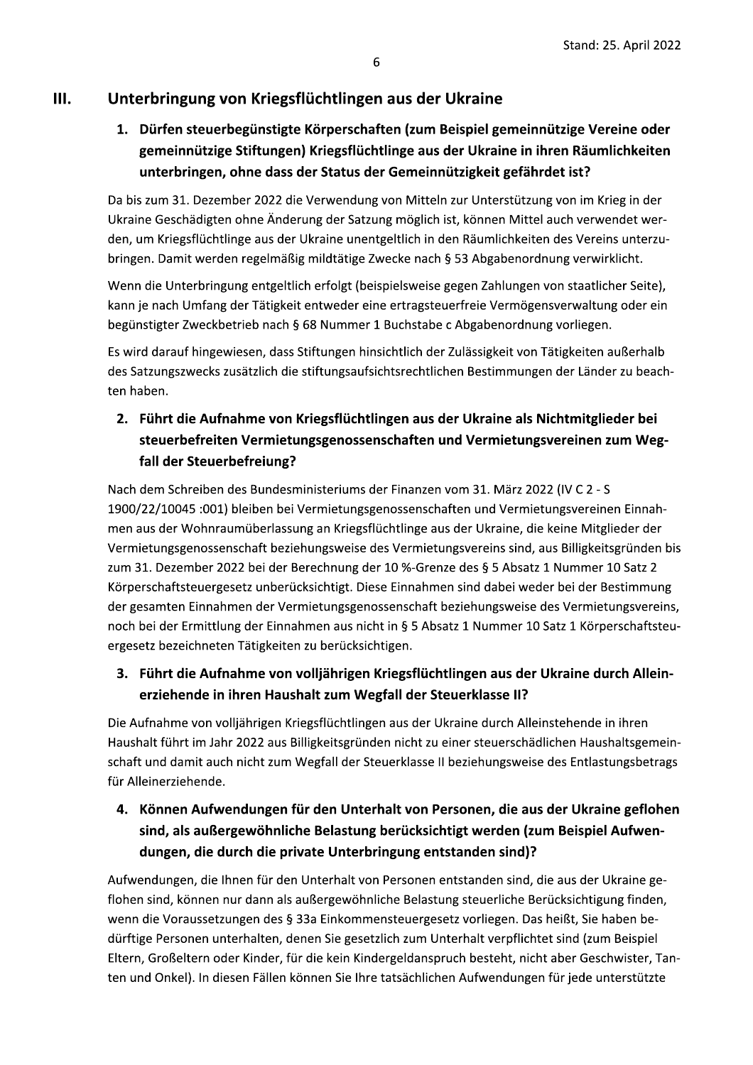#### Ш. Unterbringung von Kriegsflüchtlingen aus der Ukraine

# 1. Dürfen steuerbegünstigte Körperschaften (zum Beispiel gemeinnützige Vereine oder gemeinnützige Stiftungen) Kriegsflüchtlinge aus der Ukraine in ihren Räumlichkeiten unterbringen, ohne dass der Status der Gemeinnützigkeit gefährdet ist?

Da bis zum 31. Dezember 2022 die Verwendung von Mitteln zur Unterstützung von im Krieg in der Ukraine Geschädigten ohne Änderung der Satzung möglich ist, können Mittel auch verwendet werden, um Kriegsflüchtlinge aus der Ukraine unentgeltlich in den Räumlichkeiten des Vereins unterzubringen. Damit werden regelmäßig mildtätige Zwecke nach § 53 Abgabenordnung verwirklicht.

Wenn die Unterbringung entgeltlich erfolgt (beispielsweise gegen Zahlungen von staatlicher Seite), kann je nach Umfang der Tätigkeit entweder eine ertragsteuerfreie Vermögensverwaltung oder ein begünstigter Zweckbetrieb nach § 68 Nummer 1 Buchstabe c Abgabenordnung vorliegen.

Es wird darauf hingewiesen, dass Stiftungen hinsichtlich der Zulässigkeit von Tätigkeiten außerhalb des Satzungszwecks zusätzlich die stiftungsaufsichtsrechtlichen Bestimmungen der Länder zu beachten haben.

### 2. Führt die Aufnahme von Kriegsflüchtlingen aus der Ukraine als Nichtmitglieder bei steuerbefreiten Vermietungsgenossenschaften und Vermietungsvereinen zum Wegfall der Steuerbefreiung?

Nach dem Schreiben des Bundesministeriums der Finanzen vom 31. März 2022 (IV C 2 - S 1900/22/10045 :001) bleiben bei Vermietungsgenossenschaften und Vermietungsvereinen Einnahmen aus der Wohnraumüberlassung an Kriegsflüchtlinge aus der Ukraine, die keine Mitglieder der Vermietungsgenossenschaft beziehungsweise des Vermietungsvereins sind, aus Billigkeitsgründen bis zum 31. Dezember 2022 bei der Berechnung der 10 %-Grenze des § 5 Absatz 1 Nummer 10 Satz 2 Körperschaftsteuergesetz unberücksichtigt. Diese Einnahmen sind dabei weder bei der Bestimmung der gesamten Einnahmen der Vermietungsgenossenschaft beziehungsweise des Vermietungsvereins, noch bei der Ermittlung der Einnahmen aus nicht in § 5 Absatz 1 Nummer 10 Satz 1 Körperschaftsteuergesetz bezeichneten Tätigkeiten zu berücksichtigen.

### 3. Führt die Aufnahme von volljährigen Kriegsflüchtlingen aus der Ukraine durch Alleinerziehende in ihren Haushalt zum Wegfall der Steuerklasse II?

Die Aufnahme von volljährigen Kriegsflüchtlingen aus der Ukraine durch Alleinstehende in ihren Haushalt führt im Jahr 2022 aus Billigkeitsgründen nicht zu einer steuerschädlichen Haushaltsgemeinschaft und damit auch nicht zum Wegfall der Steuerklasse II beziehungsweise des Entlastungsbetrags für Alleinerziehende.

# 4. Können Aufwendungen für den Unterhalt von Personen, die aus der Ukraine geflohen sind, als außergewöhnliche Belastung berücksichtigt werden (zum Beispiel Aufwendungen, die durch die private Unterbringung entstanden sind)?

Aufwendungen, die Ihnen für den Unterhalt von Personen entstanden sind, die aus der Ukraine geflohen sind, können nur dann als außergewöhnliche Belastung steuerliche Berücksichtigung finden, wenn die Voraussetzungen des § 33a Einkommensteuergesetz vorliegen. Das heißt, Sie haben bedürftige Personen unterhalten, denen Sie gesetzlich zum Unterhalt verpflichtet sind (zum Beispiel Eltern, Großeltern oder Kinder, für die kein Kindergeldanspruch besteht, nicht aber Geschwister, Tanten und Onkel). In diesen Fällen können Sie Ihre tatsächlichen Aufwendungen für jede unterstützte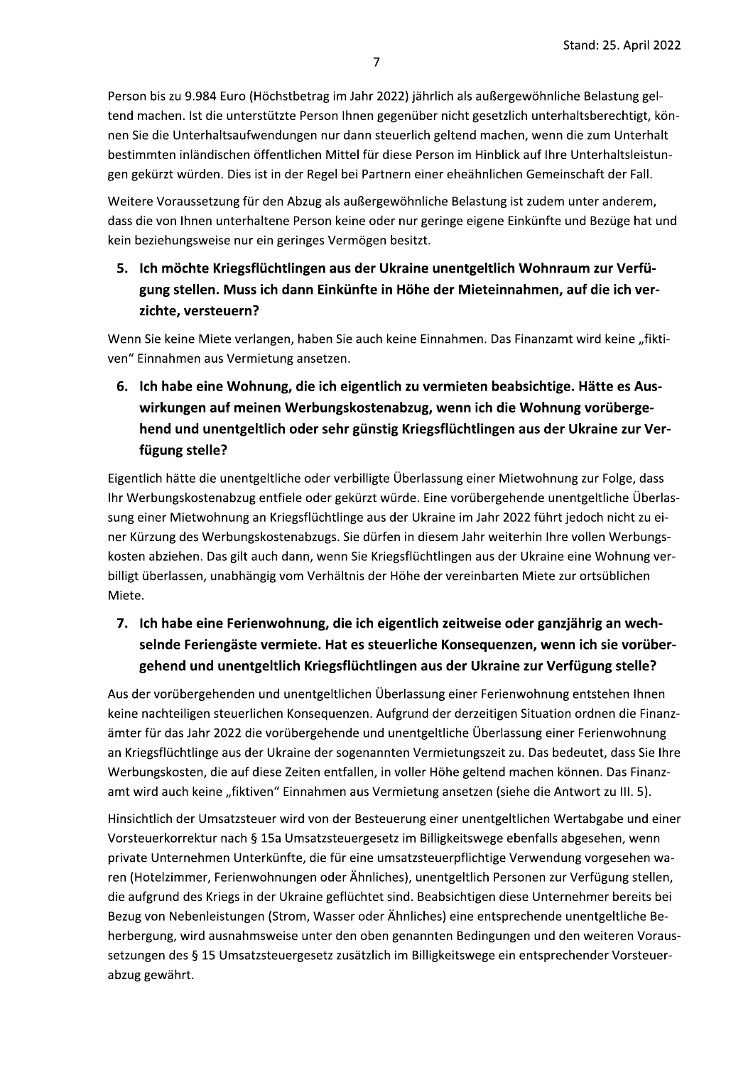Person bis zu 9.984 Euro (Hochstbetrag im Jahr 2022) jahrlich als außergewohnliche Belastung gel-Stand: 25. A<br>
Jahr 2022) jährlich als außergewöhnliche Belastur<br>
inen gegenüber nicht gesetzlich unterhaltsberech<br>
ann steuerlich geltend machen, wenn die zum Un<br>
el für diese Person im Hinblick auf Ihre Unterhalts<br>
ei Par tend machen. Ist die unterstutzte Person ihnen gegenuber nicht gesetzlich unterhaltsberechtigt, konnen Sie die Unterhaltsaufwendungen nur dann steuerlich geltend machen, wenn die zum Unterhalt bestimmten inlandischen offentlichen Mittel für diese Person im Hinblick auf Ihre Unterhaltsleistungen gekurzt wurden. Dies ist in der Regel bei Partnern einer eheahnlichen Gemeinschaft der Fall. I Euro (Höchstbetrag im Jahr 2022) jährlich als auß<br>
e unterstützte Person Ihnen gegenüber nicht gese<br>
Itsaufwendungen nur dann steuerlich geltend ma<br>
schen öffentlichen Mittel für diese Person im Hinl<br>
1. Dies ist in der Re

Weitere Voraussetzung für den Abzug als außergewohnliche Belastung ist zudem unter anderem, dass die von Ihnen unterhaltene Person keine oder nur geringe eigene Einkunfte und Bezuge hat und kein beziehungsweise nur ein geringes Vermögen besitzt.

5. Ich möchte Kriegsflüchtlingen aus der Ukraine unentgeltlich Wohnraum zur Verfügung stellen. Muss ich dann Einkünfte in Höhe der Mieteinnahmen, auf die ich verzichte, versteuern?

Wenn Sie keine Miete verlangen, haben Sie auch keine Einnahmen. Das Finanzamt wird keine "fiktiven" Einnahmen aus Vermietung ansetzen.

6. Ich habe eine Wohnung, die ich eigentlich zu vermieten beabsichtige. Hätte es Auswirkungen auf meinen Werbungskostenabzug, wenn ich die Wohnung vorübergehend und unentgeltlich oder sehr günstig Kriegsflüchtlingen aus der Ukraine zur Verfügung stelle?

Eigentlich hatte die unentgeltliche oder verbilligte Überlassung einer Mietwohnung zur Folge, dass ihr Werbungskostenabzug entfiele oder gekurzt wurde. Eine vorubergehende unentgeltliche Überlas- ${\tt sung}$  einer Mietwohnung an Kriegsfluchtlinge aus der Ukraine im Jahr 2022 fuhrt jedoch nicht zu einer Kurzung des Werbungskostenabzugs. Sie durfen in diesem Jahr weiterhin ihre vollen Werbungskosten abziehen. Das gilt auch dann, wenn Sie Kriegsflüchtlingen aus der Ukraine eine Wohnung verbilligt überlassen, unabhangig vom Verhaltnis der Hohe der vereinbarten Miete zur ortsublichen i Miete.

# 7. Ich habe eine Ferienwohnung, die ich eigentlich zeitweise oder ganzjährig an wechselnde Feriengäste vermiete. Hat es steuerliche Konsequenzen, wenn ich sie vorübergehend und unentgeltlich Kriegsflüchtlingen aus der Ukraine zur Verfügung stelle?

Aus der vorubergehenden und unentgeltlichen Überlassung einer Ferienwohnung entstehen Ihnen  $\;$ keine nachteiligen steuerlichen Konsequenzen. Aufgrund der derzeitigen Situation ordnen die Finanzamter für das Jahr 2022 die vorübergehende und unentgeltliche Überlassung einer Ferlenwohnung an Kriegsfluchtlinge aus der Ukraine der sogenannten Vermietungszeit zu. Das bedeutet, dass Sie Ihre Werbungskosten, die auf diese Zeiten entfallen, in voller Hohe geltend machen konnen. Das Finanzamt wird auch keine "fiktiven" Einnahmen aus Vermietung ansetzen (siehe die Antwort zu III. 5).

Hinsichtlich der Umsatzsteuer wird von der Besteuerung einer unentgeltlichen Wertabgabe und einer Vorsteuerkorrektur nach § 15a Umsatzsteuergesetz im Billigkeitswege ebenfalls abgesehen, wenn private Unternehmen Unterkunfte, die für eine umsatzsteuerpflichtige Verwendung vorgesehen waren (Hotelzimmer, Ferienwohnungen oder Ähnliches), unentgeltlich Personen zur Verfügung stellen, die aufgrund des Kriegs in der Ukraine geflüchtet sind. Beabsichtigen diese Unternehmer bereits bei Bezug von Nebenleistungen (Strom, Wasser oder Ähnliches) eine entsprechende unentgeltliche Be-Bezug von Nebenleistungen (Strom, Wasser oder Ahnliches) eine entsprechende unentgeltliche Be-<br>herbergung, wird ausnahmsweise unter den oben genannten Bedingungen und den weiteren Voraussetzungen des § 15 Umsatzsteuergesetz zusatzlich im Billigkeitswege ein entsprechender Vorsteuerabzug gewahrt.